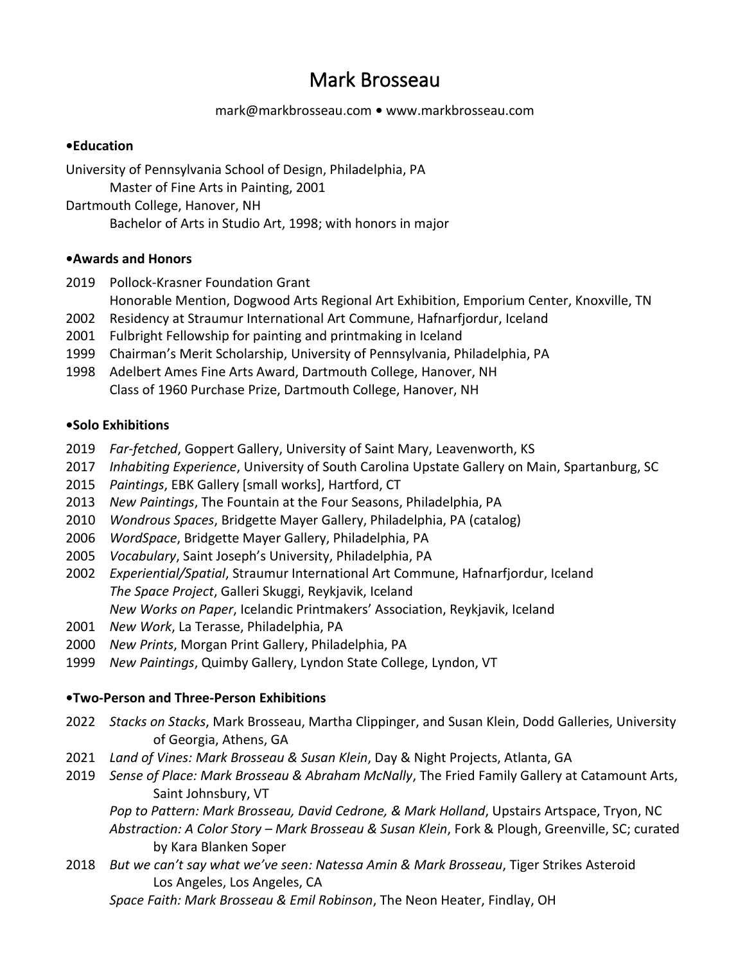# Mark Brosseau

#### [mark@markbrosseau.com](mailto:mark@markbrosseau.com) **•** [www.markbrosseau.com](http://www.markbrosseau.com/)

#### **•Education**

University of Pennsylvania School of Design, Philadelphia, PA Master of Fine Arts in Painting, 2001 Dartmouth College, Hanover, NH

Bachelor of Arts in Studio Art, 1998; with honors in major

#### **•Awards and Honors**

- 2019 Pollock-Krasner Foundation Grant
	- Honorable Mention, Dogwood Arts Regional Art Exhibition, Emporium Center, Knoxville, TN
- 2002 Residency at Straumur International Art Commune, Hafnarfjordur, Iceland
- 2001 Fulbright Fellowship for painting and printmaking in Iceland
- 1999 Chairman's Merit Scholarship, University of Pennsylvania, Philadelphia, PA
- 1998 Adelbert Ames Fine Arts Award, Dartmouth College, Hanover, NH Class of 1960 Purchase Prize, Dartmouth College, Hanover, NH

#### **•Solo Exhibitions**

- 2019 *Far-fetched*, Goppert Gallery, University of Saint Mary, Leavenworth, KS
- 2017 *Inhabiting Experience*, University of South Carolina Upstate Gallery on Main, Spartanburg, SC
- 2015 *Paintings*, EBK Gallery [small works], Hartford, CT
- 2013 *New Paintings*, The Fountain at the Four Seasons, Philadelphia, PA
- 2010 *Wondrous Spaces*, Bridgette Mayer Gallery, Philadelphia, PA (catalog)
- 2006 *WordSpace*, Bridgette Mayer Gallery, Philadelphia, PA
- 2005 *Vocabulary*, Saint Joseph's University, Philadelphia, PA
- 2002 *Experiential/Spatial*, Straumur International Art Commune, Hafnarfjordur, Iceland *The Space Project*, Galleri Skuggi, Reykjavik, Iceland *New Works on Paper*, Icelandic Printmakers' Association, Reykjavik, Iceland
- 2001 *New Work*, La Terasse, Philadelphia, PA
- 2000 *New Prints*, Morgan Print Gallery, Philadelphia, PA
- 1999 *New Paintings*, Quimby Gallery, Lyndon State College, Lyndon, VT

#### **•Two-Person and Three-Person Exhibitions**

- 2022 *Stacks on Stacks*, Mark Brosseau, Martha Clippinger, and Susan Klein, Dodd Galleries, University of Georgia, Athens, GA
- 2021 *Land of Vines: Mark Brosseau & Susan Klein*, Day & Night Projects, Atlanta, GA
- 2019 *Sense of Place: Mark Brosseau & Abraham McNally*, The Fried Family Gallery at Catamount Arts, Saint Johnsbury, VT

*Pop to Pattern: Mark Brosseau, David Cedrone, & Mark Holland*, Upstairs Artspace, Tryon, NC *Abstraction: A Color Story – Mark Brosseau & Susan Klein*, Fork & Plough, Greenville, SC; curated by Kara Blanken Soper

2018 *But we can't say what we've seen: Natessa Amin & Mark Brosseau*, Tiger Strikes Asteroid Los Angeles, Los Angeles, CA

*Space Faith: Mark Brosseau & Emil Robinson*, The Neon Heater, Findlay, OH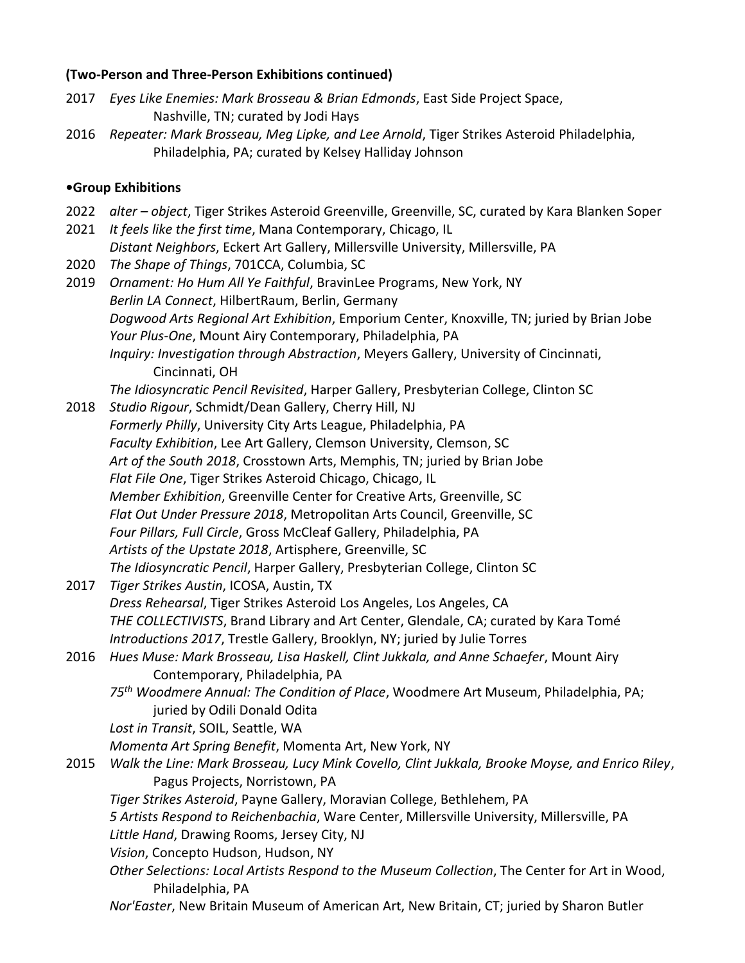#### **(Two-Person and Three-Person Exhibitions continued)**

- 2017 *Eyes Like Enemies: Mark Brosseau & Brian Edmonds*, East Side Project Space, Nashville, TN; curated by Jodi Hays
- 2016 *Repeater: Mark Brosseau, Meg Lipke, and Lee Arnold*, Tiger Strikes Asteroid Philadelphia, Philadelphia, PA; curated by Kelsey Halliday Johnson

#### **•Group Exhibitions**

- 2022 *alter – object*, Tiger Strikes Asteroid Greenville, Greenville, SC, curated by Kara Blanken Soper
- 2021 *It feels like the first time*, Mana Contemporary, Chicago, IL *Distant Neighbors*, Eckert Art Gallery, Millersville University, Millersville, PA
- 2020 *The Shape of Things*, 701CCA, Columbia, SC
- 2019 *Ornament: Ho Hum All Ye Faithful*, BravinLee Programs, New York, NY *Berlin LA Connect*, HilbertRaum, Berlin, Germany *Dogwood Arts Regional Art Exhibition*, Emporium Center, Knoxville, TN; juried by Brian Jobe *Your Plus-One*, Mount Airy Contemporary, Philadelphia, PA *Inquiry: Investigation through Abstraction*, Meyers Gallery, University of Cincinnati, Cincinnati, OH

*The Idiosyncratic Pencil Revisited*, Harper Gallery, Presbyterian College, Clinton SC

- 2018 *Studio Rigour*, Schmidt/Dean Gallery, Cherry Hill, NJ *Formerly Philly*, University City Arts League, Philadelphia, PA *Faculty Exhibition*, Lee Art Gallery, Clemson University, Clemson, SC *Art of the South 2018*, Crosstown Arts, Memphis, TN; juried by Brian Jobe *Flat File One*, Tiger Strikes Asteroid Chicago, Chicago, IL *Member Exhibition*, Greenville Center for Creative Arts, Greenville, SC *Flat Out Under Pressure 2018*, Metropolitan Arts Council, Greenville, SC *Four Pillars, Full Circle*, Gross McCleaf Gallery, Philadelphia, PA *Artists of the Upstate 2018*, Artisphere, Greenville, SC *The Idiosyncratic Pencil*, Harper Gallery, Presbyterian College, Clinton SC
- 2017 *Tiger Strikes Austin*, ICOSA, Austin, TX *Dress Rehearsal*, Tiger Strikes Asteroid Los Angeles, Los Angeles, CA *THE COLLECTIVISTS*, Brand Library and Art Center, Glendale, CA; curated by Kara Tomé *Introductions 2017*, Trestle Gallery, Brooklyn, NY; juried by Julie Torres

# 2016 *Hues Muse: Mark Brosseau, Lisa Haskell, Clint Jukkala, and Anne Schaefer*, Mount Airy Contemporary, Philadelphia, PA

*75th Woodmere Annual: The Condition of Place*, Woodmere Art Museum, Philadelphia, PA; juried by Odili Donald Odita

*Lost in Transit*, SOIL, Seattle, WA

- *Momenta Art Spring Benefit*, Momenta Art, New York, NY
- 2015 *Walk the Line: Mark Brosseau, Lucy Mink Covello, Clint Jukkala, Brooke Moyse, and Enrico Riley*, Pagus Projects, Norristown, PA
	- *Tiger Strikes Asteroid*, Payne Gallery, Moravian College, Bethlehem, PA
	- *5 Artists Respond to Reichenbachia*, Ware Center, Millersville University, Millersville, PA
	- *Little Hand*, Drawing Rooms, Jersey City, NJ
	- *Vision*, Concepto Hudson, Hudson, NY
	- *Other Selections: Local Artists Respond to the Museum Collection*, The Center for Art in Wood, Philadelphia, PA
	- *Nor'Easter*, New Britain Museum of American Art, New Britain, CT; juried by Sharon Butler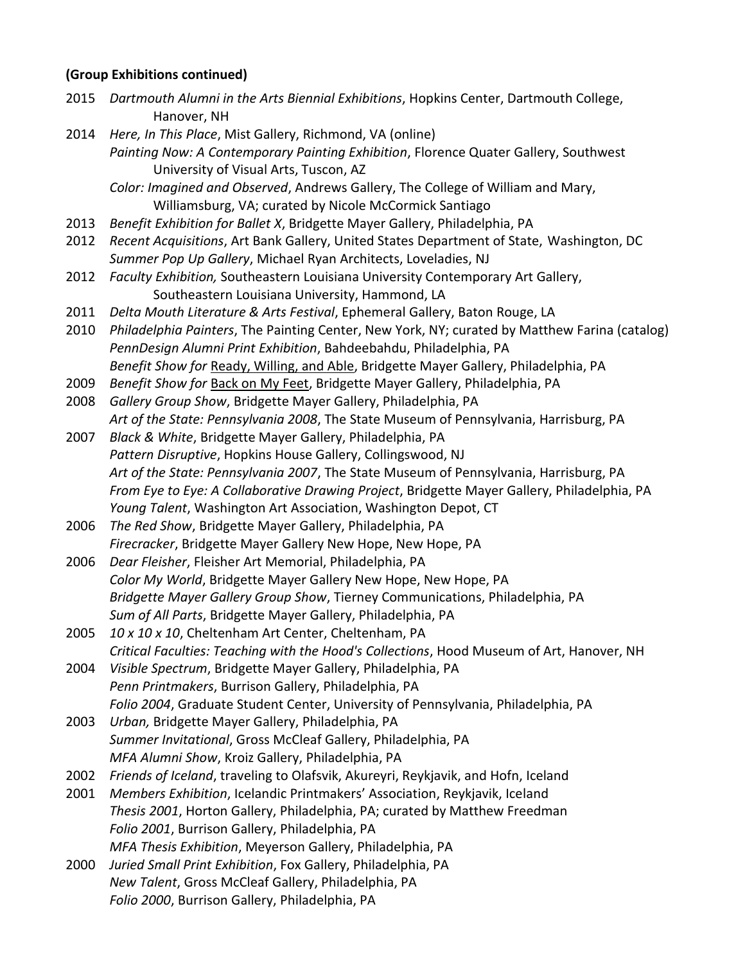#### **(Group Exhibitions continued)**

2015 *Dartmouth Alumni in the Arts Biennial Exhibitions*, Hopkins Center, Dartmouth College, Hanover, NH 2014 *Here, In This Place*, Mist Gallery, Richmond, VA (online) *Painting Now: A Contemporary Painting Exhibition*, Florence Quater Gallery, Southwest University of Visual Arts, Tuscon, AZ *Color: Imagined and Observed*, Andrews Gallery, The College of William and Mary, Williamsburg, VA; curated by Nicole McCormick Santiago 2013 *Benefit Exhibition for Ballet X*, Bridgette Mayer Gallery, Philadelphia, PA 2012 *Recent Acquisitions*, Art Bank Gallery, United States Department of State, Washington, DC *Summer Pop Up Gallery*, Michael Ryan Architects, Loveladies, NJ 2012 *Faculty Exhibition,* Southeastern Louisiana University Contemporary Art Gallery, Southeastern Louisiana University, Hammond, LA 2011 *Delta Mouth Literature & Arts Festival*, Ephemeral Gallery, Baton Rouge, LA 2010 *Philadelphia Painters*, The Painting Center, New York, NY; curated by Matthew Farina (catalog) *PennDesign Alumni Print Exhibition*, Bahdeebahdu, Philadelphia, PA *Benefit Show for* Ready, Willing, and Able, Bridgette Mayer Gallery, Philadelphia, PA 2009 *Benefit Show for* Back on My Feet, Bridgette Mayer Gallery, Philadelphia, PA 2008 *Gallery Group Show*, Bridgette Mayer Gallery, Philadelphia, PA *Art of the State: Pennsylvania 2008*, The State Museum of Pennsylvania, Harrisburg, PA 2007 *Black & White*, Bridgette Mayer Gallery, Philadelphia, PA *Pattern Disruptive*, Hopkins House Gallery, Collingswood, NJ *Art of the State: Pennsylvania 2007*, The State Museum of Pennsylvania, Harrisburg, PA *From Eye to Eye: A Collaborative Drawing Project*, Bridgette Mayer Gallery, Philadelphia, PA *Young Talent*, Washington Art Association, Washington Depot, CT 2006 *The Red Show*, Bridgette Mayer Gallery, Philadelphia, PA *Firecracker*, Bridgette Mayer Gallery New Hope, New Hope, PA 2006 *Dear Fleisher*, Fleisher Art Memorial, Philadelphia, PA *Color My World*, Bridgette Mayer Gallery New Hope, New Hope, PA *Bridgette Mayer Gallery Group Show*, Tierney Communications, Philadelphia, PA *Sum of All Parts*, Bridgette Mayer Gallery, Philadelphia, PA 2005 *10 x 10 x 10*, Cheltenham Art Center, Cheltenham, PA *Critical Faculties: Teaching with the Hood's Collections*, Hood Museum of Art, Hanover, NH 2004 *Visible Spectrum*, Bridgette Mayer Gallery, Philadelphia, PA *Penn Printmakers*, Burrison Gallery, Philadelphia, PA *Folio 2004*, Graduate Student Center, University of Pennsylvania, Philadelphia, PA 2003 *Urban,* Bridgette Mayer Gallery, Philadelphia, PA *Summer Invitational*, Gross McCleaf Gallery, Philadelphia, PA *MFA Alumni Show*, Kroiz Gallery, Philadelphia, PA 2002 *Friends of Iceland*, traveling to Olafsvik, Akureyri, Reykjavik, and Hofn, Iceland 2001 *Members Exhibition*, Icelandic Printmakers' Association, Reykjavik, Iceland *Thesis 2001*, Horton Gallery, Philadelphia, PA; curated by Matthew Freedman *Folio 2001*, Burrison Gallery, Philadelphia, PA *MFA Thesis Exhibition*, Meyerson Gallery, Philadelphia, PA 2000 *Juried Small Print Exhibition*, Fox Gallery, Philadelphia, PA *New Talent*, Gross McCleaf Gallery, Philadelphia, PA *Folio 2000*, Burrison Gallery, Philadelphia, PA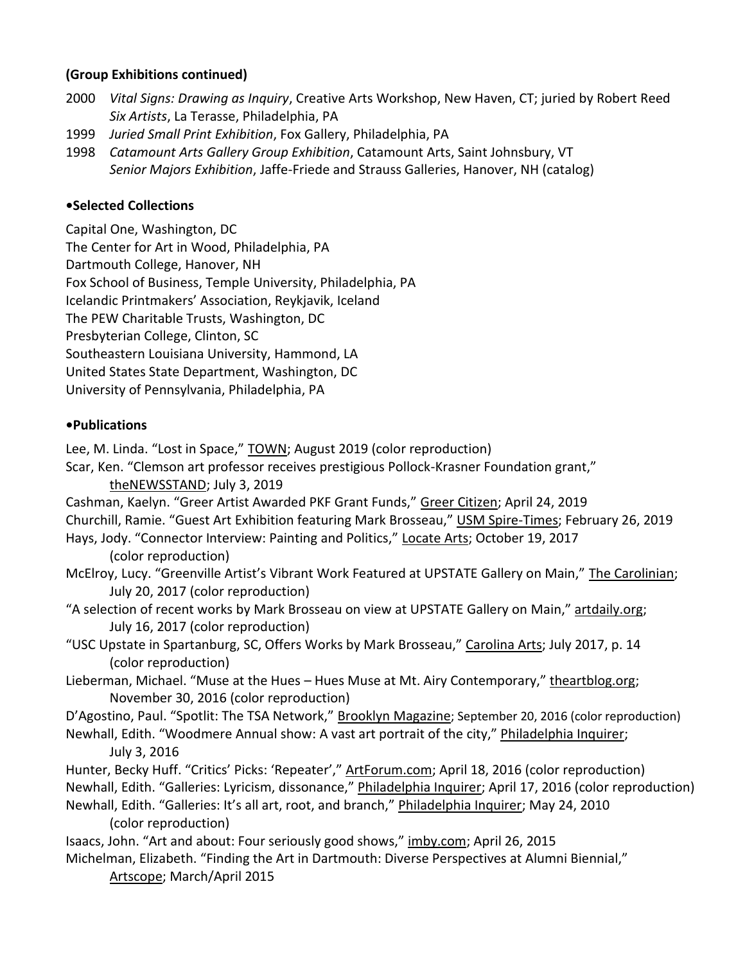### **(Group Exhibitions continued)**

- 2000 *Vital Signs: Drawing as Inquiry*, Creative Arts Workshop, New Haven, CT; juried by Robert Reed *Six Artists*, La Terasse, Philadelphia, PA
- 1999 *Juried Small Print Exhibition*, Fox Gallery, Philadelphia, PA
- 1998 *Catamount Arts Gallery Group Exhibition*, Catamount Arts, Saint Johnsbury, VT *Senior Majors Exhibition*, Jaffe-Friede and Strauss Galleries, Hanover, NH (catalog)

# **•Selected Collections**

Capital One, Washington, DC The Center for Art in Wood, Philadelphia, PA Dartmouth College, Hanover, NH Fox School of Business, Temple University, Philadelphia, PA Icelandic Printmakers' Association, Reykjavik, Iceland The PEW Charitable Trusts, Washington, DC Presbyterian College, Clinton, SC Southeastern Louisiana University, Hammond, LA United States State Department, Washington, DC University of Pennsylvania, Philadelphia, PA

# **•Publications**

Lee, M. Linda. "Lost in Space," TOWN; August 2019 (color reproduction)

Scar, Ken. "Clemson art professor receives prestigious Pollock-Krasner Foundation grant,"

#### theNEWSSTAND; July 3, 2019

Cashman, Kaelyn. "Greer Artist Awarded PKF Grant Funds," Greer Citizen; April 24, 2019 Churchill, Ramie. "Guest Art Exhibition featuring Mark Brosseau," USM Spire-Times; February 26, 2019 Hays, Jody. "Connector Interview: Painting and Politics," Locate Arts; October 19, 2017

(color reproduction)

McElroy, Lucy. "Greenville Artist's Vibrant Work Featured at UPSTATE Gallery on Main," The Carolinian; July 20, 2017 (color reproduction)

"A selection of recent works by Mark Brosseau on view at UPSTATE Gallery on Main," artdaily.org; July 16, 2017 (color reproduction)

"USC Upstate in Spartanburg, SC, Offers Works by Mark Brosseau," Carolina Arts; July 2017, p. 14 (color reproduction)

Lieberman, Michael. "Muse at the Hues – Hues Muse at Mt. Airy Contemporary," theartblog.org; November 30, 2016 (color reproduction)

D'Agostino, Paul. "Spotlit: The TSA Network," Brooklyn Magazine; September 20, 2016 (color reproduction)

Newhall, Edith. "Woodmere Annual show: A vast art portrait of the city," Philadelphia Inquirer; July 3, 2016

Hunter, Becky Huff. "Critics' Picks: 'Repeater'," ArtForum.com; April 18, 2016 (color reproduction) Newhall, Edith. "Galleries: Lyricism, dissonance," Philadelphia Inquirer; April 17, 2016 (color reproduction)

Newhall, Edith. "Galleries: It's all art, root, and branch," Philadelphia Inquirer; May 24, 2010 (color reproduction)

Isaacs, John. "Art and about: Four seriously good shows," imby.com; April 26, 2015

Michelman, Elizabeth. "Finding the Art in Dartmouth: Diverse Perspectives at Alumni Biennial," Artscope; March/April 2015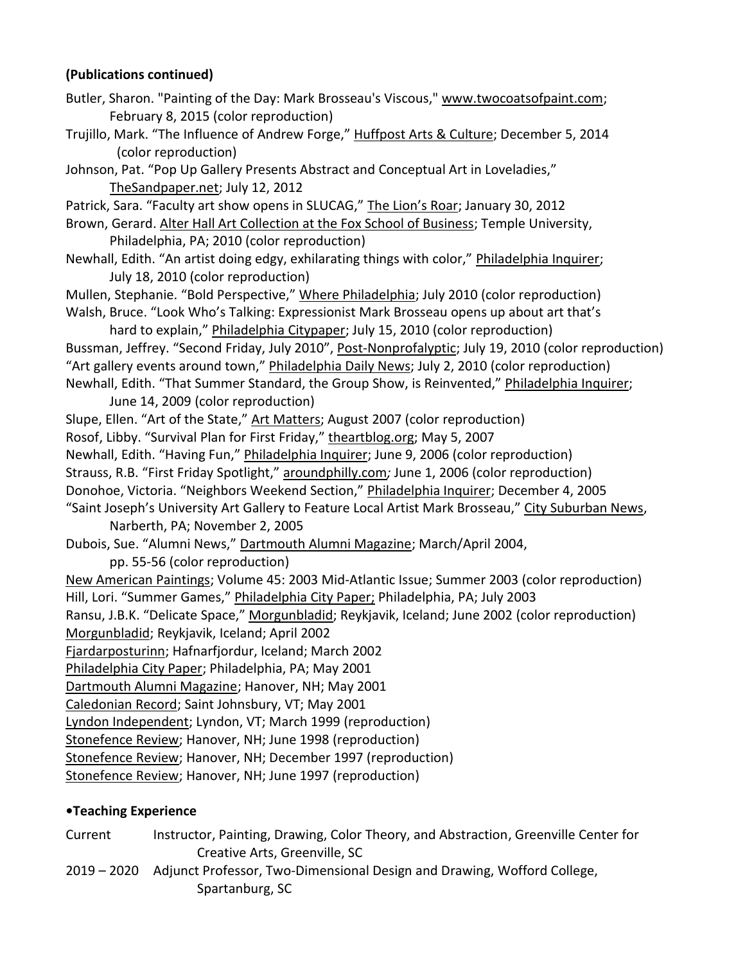# **(Publications continued)**

Butler, Sharon. "Painting of the Day: Mark Brosseau's Viscous," [www.twocoatsofpaint.com;](http://www.twocoatsofpaint.com/) February 8, 2015 (color reproduction)

Trujillo, Mark. "The Influence of Andrew Forge," Huffpost Arts & Culture; December 5, 2014 (color reproduction)

Johnson, Pat. "Pop Up Gallery Presents Abstract and Conceptual Art in Loveladies," TheSandpaper.net; July 12, 2012

Patrick, Sara. "Faculty art show opens in SLUCAG," The Lion's Roar; January 30, 2012

Brown, Gerard. Alter Hall Art Collection at the Fox School of Business; Temple University, Philadelphia, PA; 2010 (color reproduction)

Newhall, Edith. "An artist doing edgy, exhilarating things with color," Philadelphia Inquirer; July 18, 2010 (color reproduction)

Mullen, Stephanie. "Bold Perspective," Where Philadelphia; July 2010 (color reproduction) Walsh, Bruce. "Look Who's Talking: Expressionist Mark Brosseau opens up about art that's

hard to explain," Philadelphia Citypaper; July 15, 2010 (color reproduction) Bussman, Jeffrey. "Second Friday, July 2010", Post-Nonprofalyptic; July 19, 2010 (color reproduction) "Art gallery events around town," Philadelphia Daily News; July 2, 2010 (color reproduction) Newhall, Edith. "That Summer Standard, the Group Show, is Reinvented," Philadelphia Inquirer;

June 14, 2009 (color reproduction)

Slupe, Ellen. "Art of the State," Art Matters; August 2007 (color reproduction)

Rosof, Libby. "Survival Plan for First Friday," theartblog.org; May 5, 2007

Newhall, Edith. "Having Fun," Philadelphia Inquirer; June 9, 2006 (color reproduction)

Strauss, R.B. "First Friday Spotlight," aroundphilly.com*;* June 1, 2006 (color reproduction)

Donohoe, Victoria. "Neighbors Weekend Section," Philadelphia Inquirer; December 4, 2005

"Saint Joseph's University Art Gallery to Feature Local Artist Mark Brosseau," City Suburban News, Narberth, PA; November 2, 2005

Dubois, Sue. "Alumni News," Dartmouth Alumni Magazine; March/April 2004,

pp. 55-56 (color reproduction)

New American Paintings; Volume 45: 2003 Mid-Atlantic Issue; Summer 2003 (color reproduction) Hill, Lori. "Summer Games," Philadelphia City Paper; Philadelphia, PA; July 2003

Ransu, J.B.K. "Delicate Space," Morgunbladid; Reykjavik, Iceland; June 2002 (color reproduction) Morgunbladid; Reykjavik, Iceland; April 2002

Fjardarposturinn; Hafnarfjordur, Iceland; March 2002

Philadelphia City Paper; Philadelphia, PA; May 2001

Dartmouth Alumni Magazine; Hanover, NH; May 2001

Caledonian Record; Saint Johnsbury, VT; May 2001

Lyndon Independent; Lyndon, VT; March 1999 (reproduction)

Stonefence Review; Hanover, NH; June 1998 (reproduction)

Stonefence Review; Hanover, NH; December 1997 (reproduction)

Stonefence Review; Hanover, NH; June 1997 (reproduction)

#### **•Teaching Experience**

Current Instructor, Painting, Drawing, Color Theory, and Abstraction, Greenville Center for Creative Arts, Greenville, SC

2019 – 2020 Adjunct Professor, Two-Dimensional Design and Drawing, Wofford College, Spartanburg, SC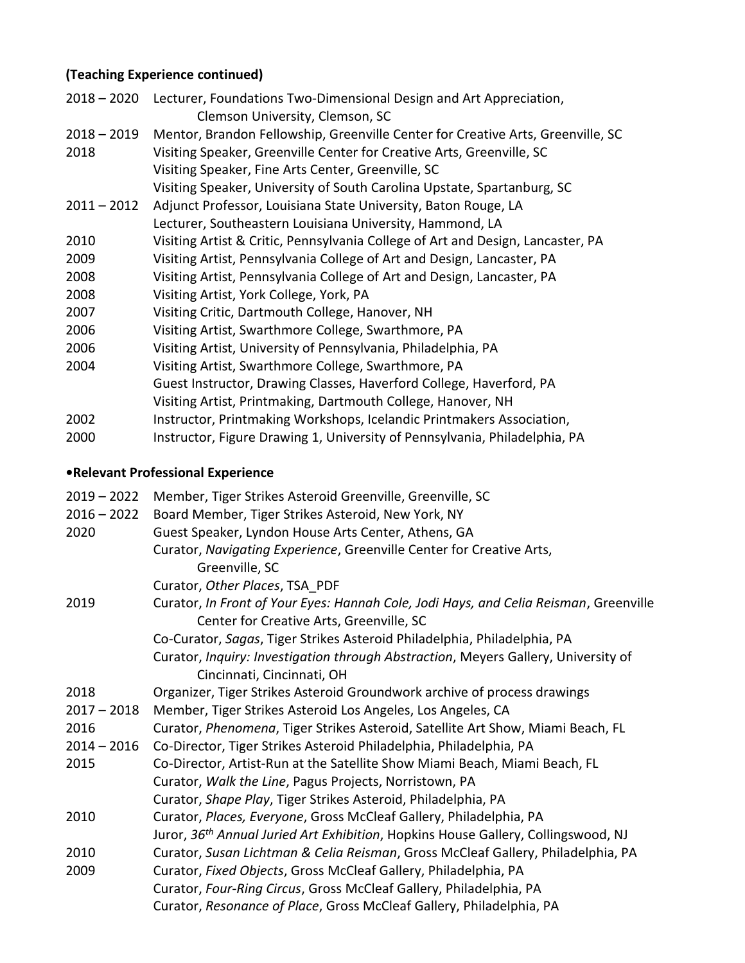# **(Teaching Experience continued)**

| $2018 - 2020$ | Lecturer, Foundations Two-Dimensional Design and Art Appreciation,              |
|---------------|---------------------------------------------------------------------------------|
|               | Clemson University, Clemson, SC                                                 |
| $2018 - 2019$ | Mentor, Brandon Fellowship, Greenville Center for Creative Arts, Greenville, SC |
| 2018          | Visiting Speaker, Greenville Center for Creative Arts, Greenville, SC           |
|               | Visiting Speaker, Fine Arts Center, Greenville, SC                              |
|               | Visiting Speaker, University of South Carolina Upstate, Spartanburg, SC         |
| $2011 - 2012$ | Adjunct Professor, Louisiana State University, Baton Rouge, LA                  |
|               | Lecturer, Southeastern Louisiana University, Hammond, LA                        |
| 2010          | Visiting Artist & Critic, Pennsylvania College of Art and Design, Lancaster, PA |
| 2009          | Visiting Artist, Pennsylvania College of Art and Design, Lancaster, PA          |
| 2008          | Visiting Artist, Pennsylvania College of Art and Design, Lancaster, PA          |
| 2008          | Visiting Artist, York College, York, PA                                         |
| 2007          | Visiting Critic, Dartmouth College, Hanover, NH                                 |
| 2006          | Visiting Artist, Swarthmore College, Swarthmore, PA                             |
| 2006          | Visiting Artist, University of Pennsylvania, Philadelphia, PA                   |
| 2004          | Visiting Artist, Swarthmore College, Swarthmore, PA                             |
|               | Guest Instructor, Drawing Classes, Haverford College, Haverford, PA             |
|               | Visiting Artist, Printmaking, Dartmouth College, Hanover, NH                    |
| 2002          | Instructor, Printmaking Workshops, Icelandic Printmakers Association,           |
| วกกก          | Instructor Figure Drawing 1 Hniversity of Dennsylvania Dhiladelnhia DA          |

2000 Instructor, Figure Drawing 1, University of Pennsylvania, Philadelphia, PA

# **•Relevant Professional Experience**

| $2019 - 2022$ | Member, Tiger Strikes Asteroid Greenville, Greenville, SC                                                                         |
|---------------|-----------------------------------------------------------------------------------------------------------------------------------|
| $2016 - 2022$ | Board Member, Tiger Strikes Asteroid, New York, NY                                                                                |
| 2020          | Guest Speaker, Lyndon House Arts Center, Athens, GA                                                                               |
|               | Curator, Navigating Experience, Greenville Center for Creative Arts,                                                              |
|               | Greenville, SC                                                                                                                    |
|               | Curator, Other Places, TSA PDF                                                                                                    |
| 2019          | Curator, In Front of Your Eyes: Hannah Cole, Jodi Hays, and Celia Reisman, Greenville<br>Center for Creative Arts, Greenville, SC |
|               | Co-Curator, Sagas, Tiger Strikes Asteroid Philadelphia, Philadelphia, PA                                                          |
|               | Curator, Inquiry: Investigation through Abstraction, Meyers Gallery, University of<br>Cincinnati, Cincinnati, OH                  |
| 2018          | Organizer, Tiger Strikes Asteroid Groundwork archive of process drawings                                                          |
| $2017 - 2018$ | Member, Tiger Strikes Asteroid Los Angeles, Los Angeles, CA                                                                       |
| 2016          | Curator, Phenomena, Tiger Strikes Asteroid, Satellite Art Show, Miami Beach, FL                                                   |
| $2014 - 2016$ | Co-Director, Tiger Strikes Asteroid Philadelphia, Philadelphia, PA                                                                |
| 2015          | Co-Director, Artist-Run at the Satellite Show Miami Beach, Miami Beach, FL                                                        |
|               | Curator, Walk the Line, Pagus Projects, Norristown, PA                                                                            |
|               | Curator, Shape Play, Tiger Strikes Asteroid, Philadelphia, PA                                                                     |
| 2010          | Curator, Places, Everyone, Gross McCleaf Gallery, Philadelphia, PA                                                                |
|               | Juror, 36 <sup>th</sup> Annual Juried Art Exhibition, Hopkins House Gallery, Collingswood, NJ                                     |
| 2010          | Curator, Susan Lichtman & Celia Reisman, Gross McCleaf Gallery, Philadelphia, PA                                                  |
| 2009          | Curator, Fixed Objects, Gross McCleaf Gallery, Philadelphia, PA                                                                   |
|               | Curator, Four-Ring Circus, Gross McCleaf Gallery, Philadelphia, PA                                                                |
|               | Curator, Resonance of Place, Gross McCleaf Gallery, Philadelphia, PA                                                              |